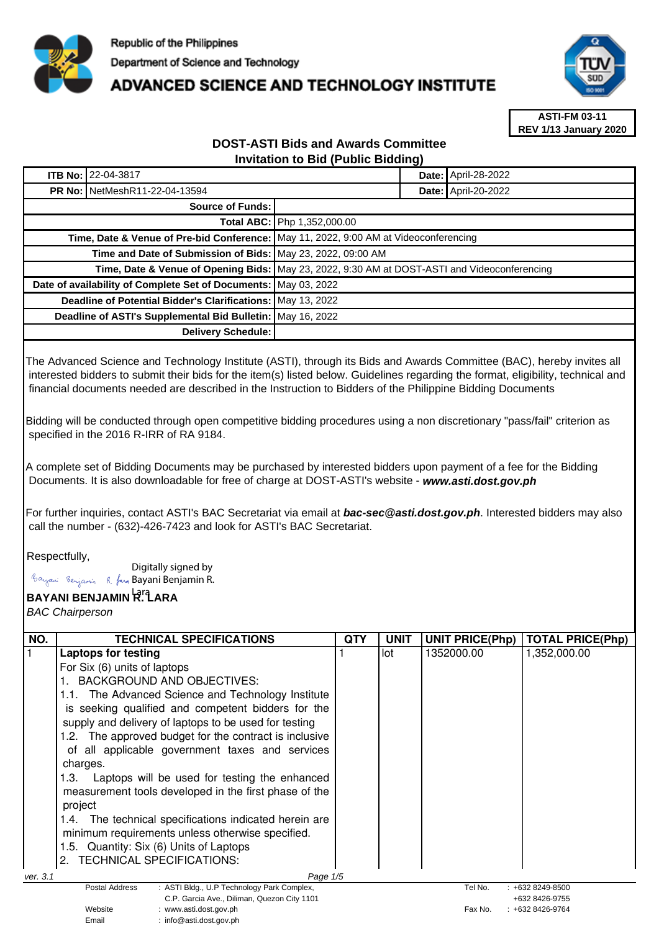

# **ADVANCED SCIENCE AND TECHNOLOGY INSTITUTE**



**ASTI-FM 03-11 REV 1/13 January 2020**

### **DOST-ASTI Bids and Awards Committee Invitation to Bid (Public Bidding)**

|                                                                 | <b>ITB No: 22-04-3817</b>            |                                                                                                |  | <b>Date: April-28-2022</b> |
|-----------------------------------------------------------------|--------------------------------------|------------------------------------------------------------------------------------------------|--|----------------------------|
|                                                                 | <b>PR No: NetMeshR11-22-04-13594</b> |                                                                                                |  | Date: April-20-2022        |
| <b>Source of Funds:</b>                                         |                                      |                                                                                                |  |                            |
|                                                                 |                                      | <b>Total ABC:   Php 1,352,000.00</b>                                                           |  |                            |
|                                                                 |                                      | Time, Date & Venue of Pre-bid Conference:   May 11, 2022, 9:00 AM at Videoconferencing         |  |                            |
| Time and Date of Submission of Bids: May 23, 2022, 09:00 AM     |                                      |                                                                                                |  |                            |
|                                                                 |                                      | Time, Date & Venue of Opening Bids:   May 23, 2022, 9:30 AM at DOST-ASTI and Videoconferencing |  |                            |
| Date of availability of Complete Set of Documents: May 03, 2022 |                                      |                                                                                                |  |                            |
| Deadline of Potential Bidder's Clarifications: May 13, 2022     |                                      |                                                                                                |  |                            |
| Deadline of ASTI's Supplemental Bid Bulletin: May 16, 2022      |                                      |                                                                                                |  |                            |
| Delivery Schedule:                                              |                                      |                                                                                                |  |                            |

The Advanced Science and Technology Institute (ASTI), through its Bids and Awards Committee (BAC), hereby invites all interested bidders to submit their bids for the item(s) listed below. Guidelines regarding the format, eligibility, technical and financial documents needed are described in the Instruction to Bidders of the Philippine Bidding Documents

Bidding will be conducted through open competitive bidding procedures using a non discretionary "pass/fail" criterion as specified in the 2016 R-IRR of RA 9184.

A complete set of Bidding Documents may be purchased by interested bidders upon payment of a fee for the Bidding Documents. It is also downloadable for free of charge at DOST-ASTI's website - **www.asti.dost.gov.ph**

For further inquiries, contact ASTI's BAC Secretariat via email at **bac-sec@asti.dost.gov.ph**. Interested bidders may also call the number - (632)-426-7423 and look for ASTI's BAC Secretariat.

### Respectfully,

Digitally signed by

Email : info@asti.dost.gov.ph

Bayani Benjamin R. fan Bayani Benjamin R.

## **BAYANI BENJAMIN R. LARA**  Lara

BAC Chairperson

| NO.                                              | <b>TECHNICAL SPECIFICATIONS</b>                                                  | <b>QTY</b> | <b>UNIT</b> | <b>UNIT PRICE(Php)</b> | <b>TOTAL PRICE(Php)</b>          |  |
|--------------------------------------------------|----------------------------------------------------------------------------------|------------|-------------|------------------------|----------------------------------|--|
|                                                  | <b>Laptops for testing</b>                                                       |            | lot         | 1352000.00             | 1,352,000.00                     |  |
|                                                  | For Six (6) units of laptops                                                     |            |             |                        |                                  |  |
|                                                  | <b>BACKGROUND AND OBJECTIVES:</b>                                                |            |             |                        |                                  |  |
|                                                  | 1.1. The Advanced Science and Technology Institute                               |            |             |                        |                                  |  |
|                                                  | is seeking qualified and competent bidders for the                               |            |             |                        |                                  |  |
|                                                  | supply and delivery of laptops to be used for testing                            |            |             |                        |                                  |  |
|                                                  | 1.2. The approved budget for the contract is inclusive                           |            |             |                        |                                  |  |
|                                                  | of all applicable government taxes and services                                  |            |             |                        |                                  |  |
|                                                  | charges.                                                                         |            |             |                        |                                  |  |
|                                                  | Laptops will be used for testing the enhanced<br>1.3.                            |            |             |                        |                                  |  |
|                                                  | measurement tools developed in the first phase of the                            |            |             |                        |                                  |  |
|                                                  | project                                                                          |            |             |                        |                                  |  |
|                                                  | 1.4. The technical specifications indicated herein are                           |            |             |                        |                                  |  |
| minimum requirements unless otherwise specified. |                                                                                  |            |             |                        |                                  |  |
|                                                  | 1.5. Quantity: Six (6) Units of Laptops                                          |            |             |                        |                                  |  |
|                                                  | 2. TECHNICAL SPECIFICATIONS:                                                     |            |             |                        |                                  |  |
| ver. 3.1                                         | Page 1/5                                                                         |            |             |                        |                                  |  |
|                                                  | : ASTI Bldg., U.P Technology Park Complex,<br><b>Postal Address</b>              |            |             | Tel No.                | $: +6328249 - 8500$              |  |
|                                                  | C.P. Garcia Ave., Diliman, Quezon City 1101<br>Website<br>: www.asti.dost.gov.ph |            |             | Fax No.                | +632 8426-9755<br>+632 8426-9764 |  |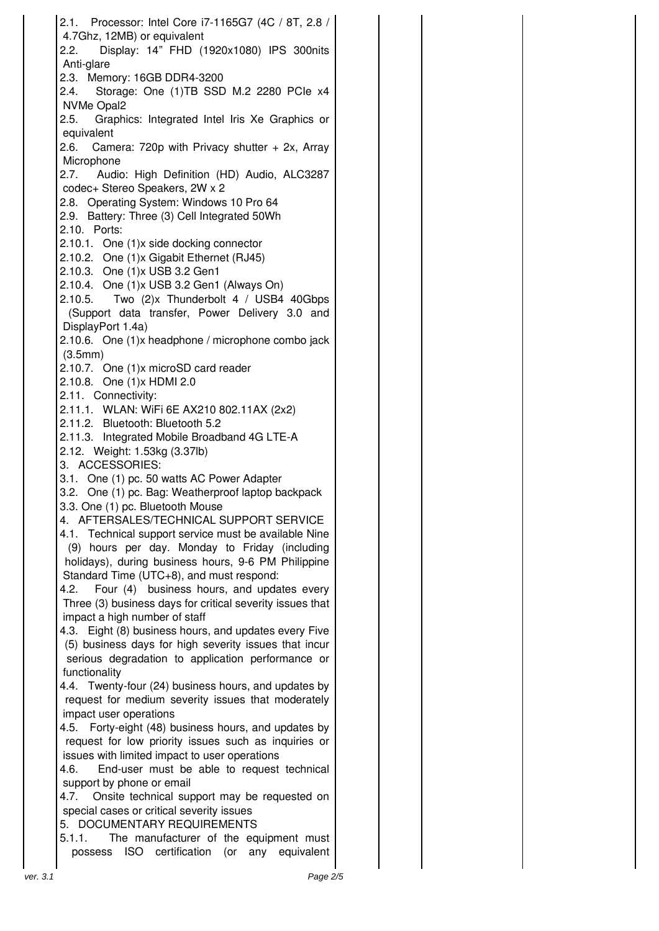| 2.1. Processor: Intel Core i7-1165G7 (4C / 8T, 2.8 /                                                    |  |
|---------------------------------------------------------------------------------------------------------|--|
| 4.7Ghz, 12MB) or equivalent<br>Display: 14" FHD (1920x1080) IPS 300nits<br>2.2.                         |  |
| Anti-glare                                                                                              |  |
| 2.3. Memory: 16GB DDR4-3200                                                                             |  |
| Storage: One (1)TB SSD M.2 2280 PCle x4<br>2.4.                                                         |  |
| NVMe Opal2<br>2.5. Graphics: Integrated Intel Iris Xe Graphics or                                       |  |
| equivalent                                                                                              |  |
| 2.6. Camera: 720p with Privacy shutter $+$ 2x, Array                                                    |  |
| Microphone                                                                                              |  |
| Audio: High Definition (HD) Audio, ALC3287<br>2.7.<br>codec+ Stereo Speakers, 2W x 2                    |  |
| 2.8. Operating System: Windows 10 Pro 64                                                                |  |
| 2.9. Battery: Three (3) Cell Integrated 50Wh                                                            |  |
| 2.10. Ports:                                                                                            |  |
| 2.10.1. One (1)x side docking connector                                                                 |  |
| 2.10.2. One (1)x Gigabit Ethernet (RJ45)<br>2.10.3. One (1)x USB 3.2 Gen1                               |  |
| 2.10.4. One (1)x USB 3.2 Gen1 (Always On)                                                               |  |
| 2.10.5. Two (2)x Thunderbolt 4 / USB4 40Gbps                                                            |  |
| (Support data transfer, Power Delivery 3.0 and                                                          |  |
| DisplayPort 1.4a)<br>2.10.6. One (1)x headphone / microphone combo jack                                 |  |
| (3.5mm)                                                                                                 |  |
| 2.10.7. One (1)x microSD card reader                                                                    |  |
| 2.10.8. One (1) x HDMI 2.0                                                                              |  |
| 2.11. Connectivity:<br>2.11.1. WLAN: WiFi 6E AX210 802.11AX (2x2)                                       |  |
| 2.11.2. Bluetooth: Bluetooth 5.2                                                                        |  |
| 2.11.3. Integrated Mobile Broadband 4G LTE-A                                                            |  |
| 2.12. Weight: 1.53kg (3.37lb)                                                                           |  |
| 3. ACCESSORIES:<br>3.1. One (1) pc. 50 watts AC Power Adapter                                           |  |
| 3.2. One (1) pc. Bag: Weatherproof laptop backpack                                                      |  |
| 3.3. One (1) pc. Bluetooth Mouse                                                                        |  |
| 4. AFTERSALES/TECHNICAL SUPPORT SERVICE                                                                 |  |
| 4.1. Technical support service must be available Nine<br>(9) hours per day. Monday to Friday (including |  |
| holidays), during business hours, 9-6 PM Philippine                                                     |  |
| Standard Time (UTC+8), and must respond:                                                                |  |
| Four (4) business hours, and updates every<br>4.2.                                                      |  |
| Three (3) business days for critical severity issues that<br>impact a high number of staff              |  |
| 4.3. Eight (8) business hours, and updates every Five                                                   |  |
| (5) business days for high severity issues that incur                                                   |  |
| serious degradation to application performance or                                                       |  |
| functionality<br>4.4. Twenty-four (24) business hours, and updates by                                   |  |
| request for medium severity issues that moderately                                                      |  |
| impact user operations                                                                                  |  |
| 4.5. Forty-eight (48) business hours, and updates by                                                    |  |
| request for low priority issues such as inquiries or<br>issues with limited impact to user operations   |  |
| End-user must be able to request technical<br>4.6.                                                      |  |
| support by phone or email                                                                               |  |
| Onsite technical support may be requested on<br>4.7.                                                    |  |
| special cases or critical severity issues<br>5. DOCUMENTARY REQUIREMENTS                                |  |
| 5.1.1.<br>The manufacturer of the equipment must                                                        |  |
| possess ISO certification (or any equivalent                                                            |  |
| Page 2/5<br>ver. 3.1                                                                                    |  |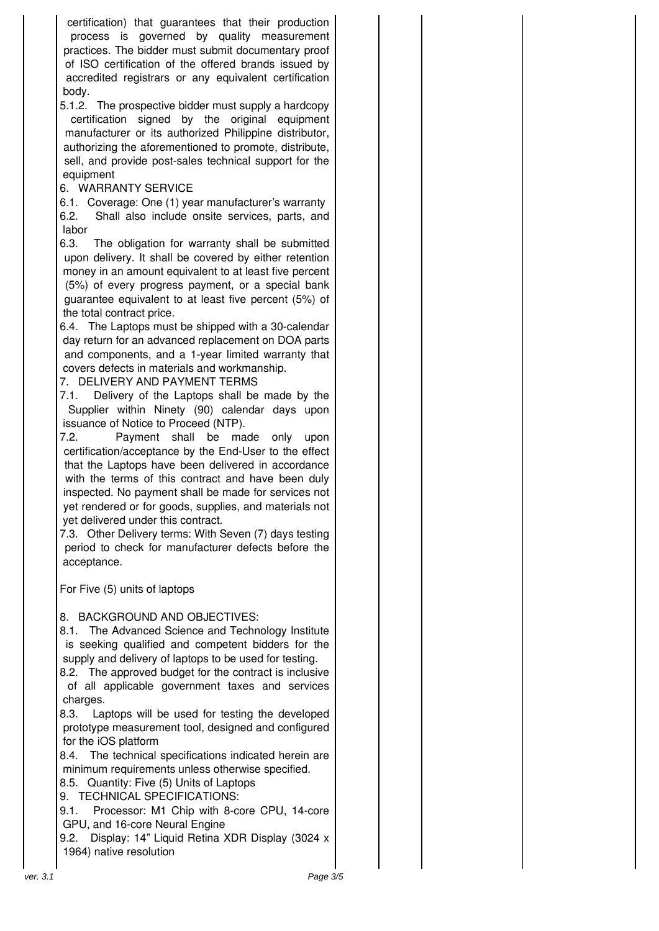certification) that guarantees that their production process is governed by quality measurement practices. The bidder must submit documentary proof of ISO certification of the offered brands issued by accredited registrars or any equivalent certification body.

5.1.2. The prospective bidder must supply a hardcopy certification signed by the original equipment manufacturer or its authorized Philippine distributor, authorizing the aforementioned to promote, distribute, sell, and provide post-sales technical support for the equipment

### 6. WARRANTY SERVICE

6.1. Coverage: One (1) year manufacturer's warranty 6.2. Shall also include onsite services, parts, and labor

6.3. The obligation for warranty shall be submitted upon delivery. It shall be covered by either retention money in an amount equivalent to at least five percent (5%) of every progress payment, or a special bank guarantee equivalent to at least five percent (5%) of the total contract price.

6.4. The Laptops must be shipped with a 30-calendar day return for an advanced replacement on DOA parts and components, and a 1-year limited warranty that covers defects in materials and workmanship.

7. DELIVERY AND PAYMENT TERMS

7.1. Delivery of the Laptops shall be made by the Supplier within Ninety (90) calendar days upon issuance of Notice to Proceed (NTP).

7.2. Payment shall be made only upon certification/acceptance by the End-User to the effect that the Laptops have been delivered in accordance with the terms of this contract and have been duly inspected. No payment shall be made for services not yet rendered or for goods, supplies, and materials not yet delivered under this contract.

7.3. Other Delivery terms: With Seven (7) days testing period to check for manufacturer defects before the acceptance.

For Five (5) units of laptops

### 8. BACKGROUND AND OBJECTIVES:

8.1. The Advanced Science and Technology Institute is seeking qualified and competent bidders for the supply and delivery of laptops to be used for testing.

8.2. The approved budget for the contract is inclusive of all applicable government taxes and services charges.

8.3. Laptops will be used for testing the developed prototype measurement tool, designed and configured for the iOS platform

8.4. The technical specifications indicated herein are minimum requirements unless otherwise specified.

8.5. Quantity: Five (5) Units of Laptops

9. TECHNICAL SPECIFICATIONS:

9.1. Processor: M1 Chip with 8-core CPU, 14-core GPU, and 16-core Neural Engine

9.2. Display: 14" Liquid Retina XDR Display (3024 x 1964) native resolution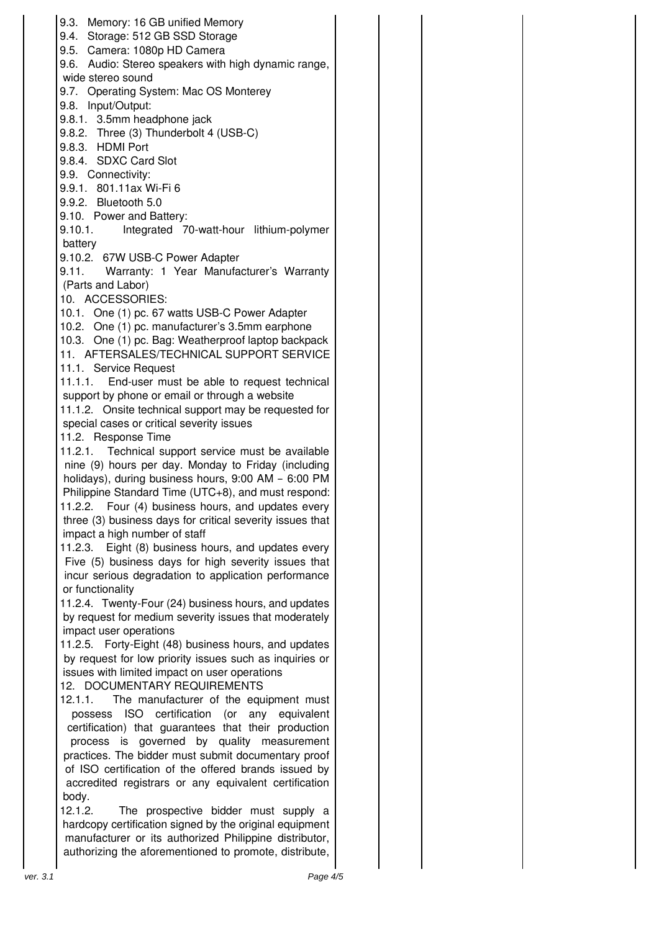9.3. Memory: 16 GB unified Memory 9.4. Storage: 512 GB SSD Storage 9.5. Camera: 1080p HD Camera 9.6. Audio: Stereo speakers with high dynamic range, wide stereo sound 9.7. Operating System: Mac OS Monterey 9.8. Input/Output: 9.8.1. 3.5mm headphone jack 9.8.2. Three (3) Thunderbolt 4 (USB-C) 9.8.3. HDMI Port 9.8.4. SDXC Card Slot 9.9. Connectivity: 9.9.1. 801.11ax Wi-Fi 6 9.9.2. Bluetooth 5.0 9.10. Power and Battery: 9.10.1. Integrated 70-watt-hour lithium-polymer battery 9.10.2. 67W USB-C Power Adapter 9.11. Warranty: 1 Year Manufacturer's Warranty (Parts and Labor) 10. ACCESSORIES: 10.1. One (1) pc. 67 watts USB-C Power Adapter 10.2. One (1) pc. manufacturer's 3.5mm earphone 10.3. One (1) pc. Bag: Weatherproof laptop backpack 11. AFTERSALES/TECHNICAL SUPPORT SERVICE 11.1. Service Request 11.1.1. End-user must be able to request technical support by phone or email or through a website 11.1.2. Onsite technical support may be requested for special cases or critical severity issues 11.2. Response Time 11.2.1. Technical support service must be available nine (9) hours per day. Monday to Friday (including holidays), during business hours, 9:00 AM – 6:00 PM Philippine Standard Time (UTC+8), and must respond: 11.2.2. Four (4) business hours, and updates every three (3) business days for critical severity issues that impact a high number of staff 11.2.3. Eight (8) business hours, and updates every Five (5) business days for high severity issues that incur serious degradation to application performance or functionality 11.2.4. Twenty-Four (24) business hours, and updates by request for medium severity issues that moderately impact user operations 11.2.5. Forty-Eight (48) business hours, and updates by request for low priority issues such as inquiries or issues with limited impact on user operations 12. DOCUMENTARY REQUIREMENTS 12.1.1. The manufacturer of the equipment must possess ISO certification (or any equivalent certification) that guarantees that their production process is governed by quality measurement practices. The bidder must submit documentary proof of ISO certification of the offered brands issued by accredited registrars or any equivalent certification body. 12.1.2. The prospective bidder must supply a hardcopy certification signed by the original equipment manufacturer or its authorized Philippine distributor, authorizing the aforementioned to promote, distribute, ver. 3.1 Page 4/5